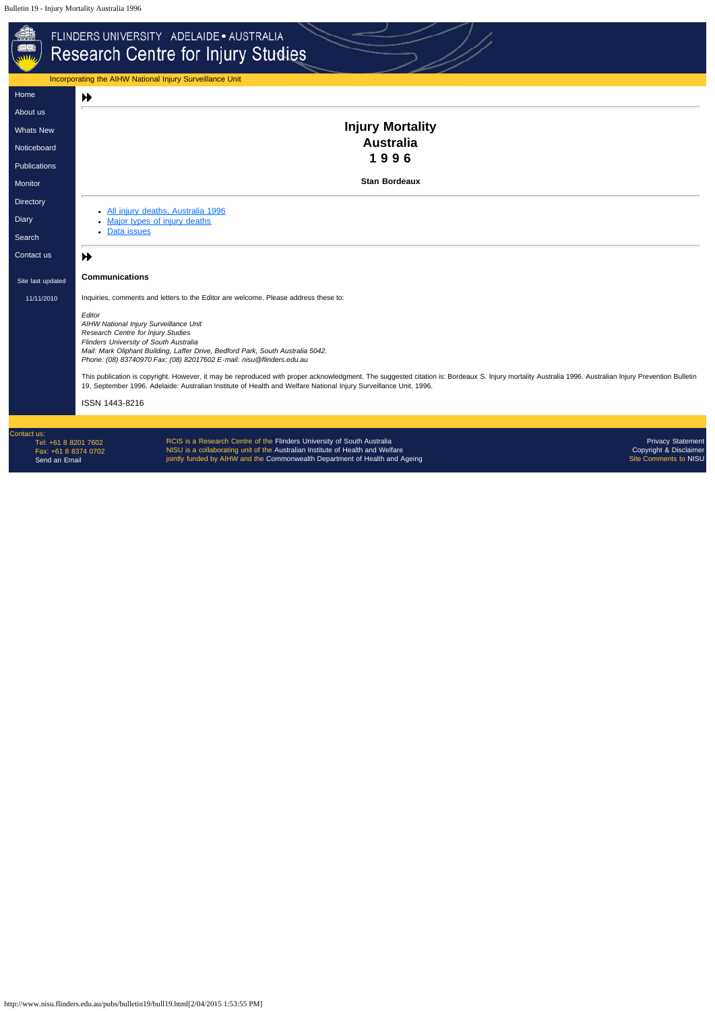http://www.nisu.flinders.edu.au/pubs/bulletin19/bull19.html[2/04/2015 1:53:55 PM]

|                                                                              | FLINDERS UNIVERSITY ADELAIDE · AUSTRALIA<br><b>Research Centre for Injury Studies</b>                                                                                                                                                                                                                                                                                                                                                                                                                 |  |  |  |  |  |  |  |  |
|------------------------------------------------------------------------------|-------------------------------------------------------------------------------------------------------------------------------------------------------------------------------------------------------------------------------------------------------------------------------------------------------------------------------------------------------------------------------------------------------------------------------------------------------------------------------------------------------|--|--|--|--|--|--|--|--|
|                                                                              | Incorporating the AIHW National Injury Surveillance Unit                                                                                                                                                                                                                                                                                                                                                                                                                                              |  |  |  |  |  |  |  |  |
| Home                                                                         | ₩                                                                                                                                                                                                                                                                                                                                                                                                                                                                                                     |  |  |  |  |  |  |  |  |
| About us                                                                     |                                                                                                                                                                                                                                                                                                                                                                                                                                                                                                       |  |  |  |  |  |  |  |  |
| <b>Whats New</b>                                                             | <b>Injury Mortality</b>                                                                                                                                                                                                                                                                                                                                                                                                                                                                               |  |  |  |  |  |  |  |  |
| Noticeboard                                                                  | <b>Australia</b>                                                                                                                                                                                                                                                                                                                                                                                                                                                                                      |  |  |  |  |  |  |  |  |
| <b>Publications</b>                                                          | 1996                                                                                                                                                                                                                                                                                                                                                                                                                                                                                                  |  |  |  |  |  |  |  |  |
| Monitor                                                                      | <b>Stan Bordeaux</b>                                                                                                                                                                                                                                                                                                                                                                                                                                                                                  |  |  |  |  |  |  |  |  |
| Directory                                                                    |                                                                                                                                                                                                                                                                                                                                                                                                                                                                                                       |  |  |  |  |  |  |  |  |
| Diary                                                                        | • All injury deaths, Australia 1996<br>Major types of injury deaths                                                                                                                                                                                                                                                                                                                                                                                                                                   |  |  |  |  |  |  |  |  |
| Search                                                                       | • Data issues                                                                                                                                                                                                                                                                                                                                                                                                                                                                                         |  |  |  |  |  |  |  |  |
| Contact us                                                                   | ₩                                                                                                                                                                                                                                                                                                                                                                                                                                                                                                     |  |  |  |  |  |  |  |  |
| Site last updated                                                            | <b>Communications</b>                                                                                                                                                                                                                                                                                                                                                                                                                                                                                 |  |  |  |  |  |  |  |  |
| 11/11/2010                                                                   | Inquiries, comments and letters to the Editor are welcome. Please address these to:                                                                                                                                                                                                                                                                                                                                                                                                                   |  |  |  |  |  |  |  |  |
|                                                                              | Editor<br>AIHW National Injury Surveillance Unit<br>Research Centre for Injury Studies<br>Flinders University of South Australia<br>Mail: Mark Oliphant Building, Laffer Drive, Bedford Park, South Australia 5042.<br>Phone: (08) 83740970 Fax: (08) 82017602 E-mail: nisu@flinders.edu.au<br>This publication is copyright. However, it may be reproduced with proper acknowledgment. The suggested citation is: Bordeaux S. Injury mortality Australia 1996. Australian Injury Prevention Bulletin |  |  |  |  |  |  |  |  |
|                                                                              | 19, September 1996. Adelaide: Australian Institute of Health and Welfare National Injury Surveillance Unit, 1996.                                                                                                                                                                                                                                                                                                                                                                                     |  |  |  |  |  |  |  |  |
|                                                                              | ISSN 1443-8216                                                                                                                                                                                                                                                                                                                                                                                                                                                                                        |  |  |  |  |  |  |  |  |
|                                                                              |                                                                                                                                                                                                                                                                                                                                                                                                                                                                                                       |  |  |  |  |  |  |  |  |
| Contact us:<br>Tel: +61 8 8201 7602<br>Fax: +61 8 8374 0702<br>Send an Email | RCIS is a Research Centre of the Flinders University of South Australia<br><b>Privacy Statement</b><br>NISU is a collaborating unit of the Australian Institute of Health and Welfare<br>Copyright & Disclaimer<br>jointly funded by AIHW and the Commonwealth Department of Health and Ageing<br>Site Comments to NISU                                                                                                                                                                               |  |  |  |  |  |  |  |  |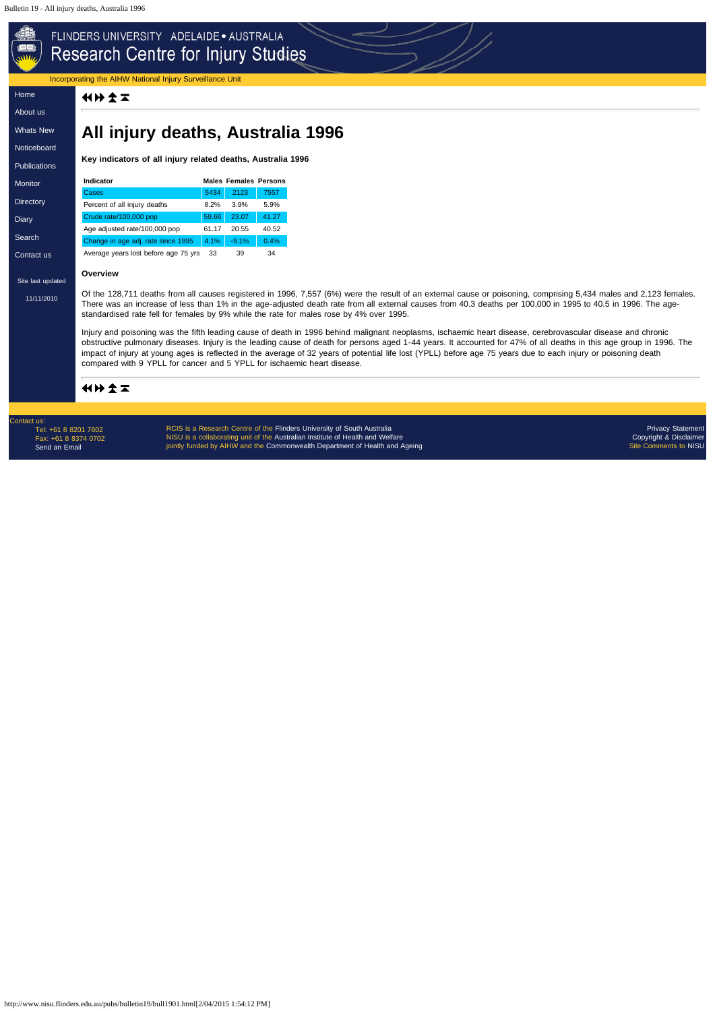# <span id="page-1-0"></span>FLINDERS UNIVERSITY ADELAIDE . AUSTRALIA Research Centre for Injury Studies

http://www.nisu.flinders.edu.au/pubs/bulletin19/bull1901.html[2/04/2015 1:54:12 PM]

Incorporating the AIHW National Injury Surveillance Unit

化比尔工

[Home](http://www.nisu.flinders.edu.au/index.php)

[About](http://www.nisu.flinders.edu.au/about.php) us

[Whats](http://www.nisu.flinders.edu.au/wotsnew.php) New

[Noticeboard](http://www.nisu.flinders.edu.au/nb.php)

**[Publications](http://www.nisu.flinders.edu.au/publications.php)** 

**[Monitor](http://www.nisu.flinders.edu.au/monitor/index.php)** 

**[Directory](http://www.nisu.flinders.edu.au/injdirect/index.php)** 

**[Diary](http://www.nisu.flinders.edu.au/diary.php)** 

[Search](http://www.nisu.flinders.edu.au/search.php)

[Contact](http://www.nisu.flinders.edu.au/contact.php) us

[11/11/2010](http://www.nisu.flinders.edu.au/pubs/reports/2010/injcat134.php)

# **All injury deaths, Australia 1996**

**Key indicators of all injury related deaths, Australia 1996**

Site last updated **Overview**

| <b>Indicator</b>                     |       | <b>Males Females Persons</b> |       |
|--------------------------------------|-------|------------------------------|-------|
| Cases                                | 5434  | 2123                         | 7557  |
| Percent of all injury deaths         | 8.2%  | 3.9%                         | 5.9%  |
| Crude rate/100,000 pop               | 59.66 | 23.07                        | 41.27 |
| Age adjusted rate/100,000 pop        | 61.17 | 20.55                        | 40.52 |
| Change in age adj. rate since 1995   | 4.1%  | $-9.1%$                      | 0.4%  |
| Average years lost before age 75 yrs | 33    | 39                           | 34    |

RCIS is a Research Centre of the [Flinders University of South Australia](http://www.flinders.edu.au/) NISU is a collaborating unit of the [Australian Institute of Health and Welfare](http://www.aihw.gov.au/) jointly funded by AIHW and the [Commonwealth Department of Health and Ageing](http://www.health.gov.au/)

Of the 128,711 deaths from all causes registered in 1996, 7,557 (6%) were the result of an external cause or poisoning, comprising 5,434 males and 2,123 females. There was an increase of less than 1% in the age-adjusted death rate from all external causes from 40.3 deaths per 100,000 in 1995 to 40.5 in 1996. The agestandardised rate fell for females by 9% while the rate for males rose by 4% over 1995.

Injury and poisoning was the fifth leading cause of death in 1996 behind malignant neoplasms, ischaemic heart disease, cerebrovascular disease and chronic obstructive pulmonary diseases. Injury is the leading cause of death for persons aged 1-44 years. It accounted for 47% of all deaths in this age group in 1996. The impact of injury at young ages is reflected in the average of 32 years of potential life lost (YPLL) before age 75 years due to each injury or poisoning death compared with 9 YPLL for cancer and 5 YPLL for ischaemic heart disease.

## 化比尔工

Contact us: Tel: +61 8 8201 7602 Fax: +61 8 8374 0702 [Send an Email](mailto:nisu@flinders.edu.au)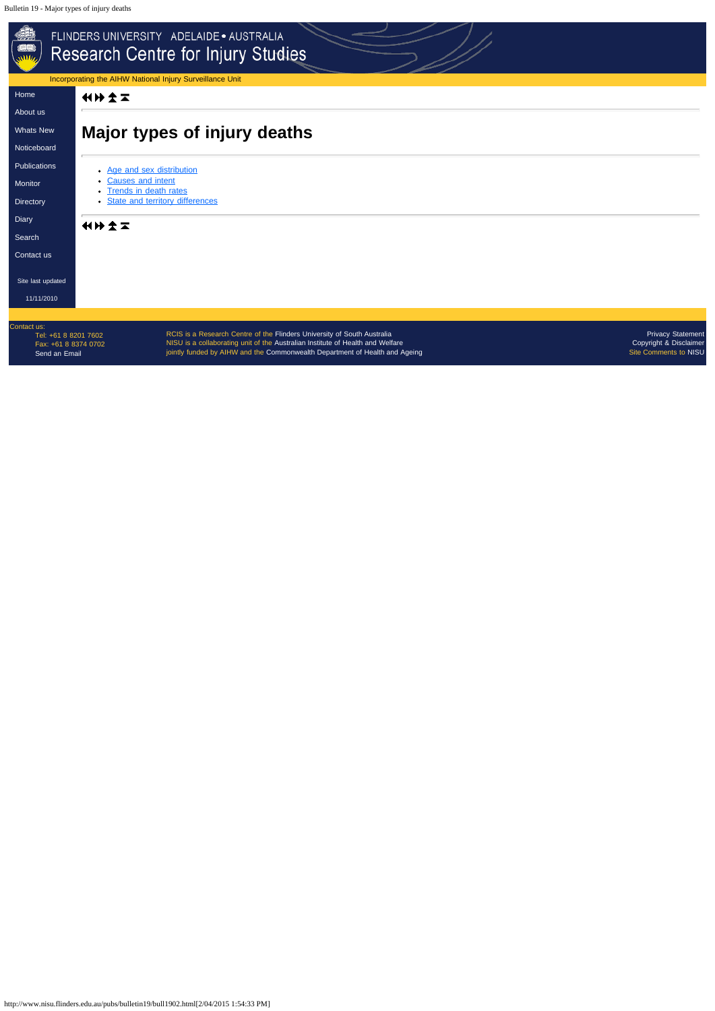http://www.nisu.flinders.edu.au/pubs/bulletin19/bull1902.html[2/04/2015 1:54:33 PM]

<span id="page-2-0"></span>

| - 40<br>FLINDERS UNIVERSITY ADELAIDE · AUSTRALIA<br>Research Centre for Injury Studies<br>Incorporating the AIHW National Injury Surveillance Unit |                                                                                                                                                                                                                                                                                                                                |  |  |  |  |  |  |  |  |  |
|----------------------------------------------------------------------------------------------------------------------------------------------------|--------------------------------------------------------------------------------------------------------------------------------------------------------------------------------------------------------------------------------------------------------------------------------------------------------------------------------|--|--|--|--|--|--|--|--|--|
| Home                                                                                                                                               | 化分子工                                                                                                                                                                                                                                                                                                                           |  |  |  |  |  |  |  |  |  |
| About us                                                                                                                                           |                                                                                                                                                                                                                                                                                                                                |  |  |  |  |  |  |  |  |  |
| <b>Whats New</b>                                                                                                                                   | <b>Major types of injury deaths</b>                                                                                                                                                                                                                                                                                            |  |  |  |  |  |  |  |  |  |
| Noticeboard                                                                                                                                        |                                                                                                                                                                                                                                                                                                                                |  |  |  |  |  |  |  |  |  |
| Publications                                                                                                                                       | • Age and sex distribution                                                                                                                                                                                                                                                                                                     |  |  |  |  |  |  |  |  |  |
| Monitor                                                                                                                                            | • Causes and intent<br><b>Trends in death rates</b>                                                                                                                                                                                                                                                                            |  |  |  |  |  |  |  |  |  |
| Directory                                                                                                                                          | <b>State and territory differences</b>                                                                                                                                                                                                                                                                                         |  |  |  |  |  |  |  |  |  |
| <b>Diary</b>                                                                                                                                       | 化分类工                                                                                                                                                                                                                                                                                                                           |  |  |  |  |  |  |  |  |  |
| Search                                                                                                                                             |                                                                                                                                                                                                                                                                                                                                |  |  |  |  |  |  |  |  |  |
| Contact us                                                                                                                                         |                                                                                                                                                                                                                                                                                                                                |  |  |  |  |  |  |  |  |  |
| Site last updated                                                                                                                                  |                                                                                                                                                                                                                                                                                                                                |  |  |  |  |  |  |  |  |  |
| 11/11/2010                                                                                                                                         |                                                                                                                                                                                                                                                                                                                                |  |  |  |  |  |  |  |  |  |
|                                                                                                                                                    |                                                                                                                                                                                                                                                                                                                                |  |  |  |  |  |  |  |  |  |
| Contact us:<br>Tel: +61 8 8201 7602<br>Fax: +61 8 8374 0702<br>Send an Email                                                                       | RCIS is a Research Centre of the Flinders University of South Australia<br><b>Privacy Statement</b><br>NISU is a collaborating unit of the Australian Institute of Health and Welfare<br>Copyright & Disclaimer<br>jointly funded by AIHW and the Commonwealth Department of Health and Ageing<br><b>Site Comments to NISU</b> |  |  |  |  |  |  |  |  |  |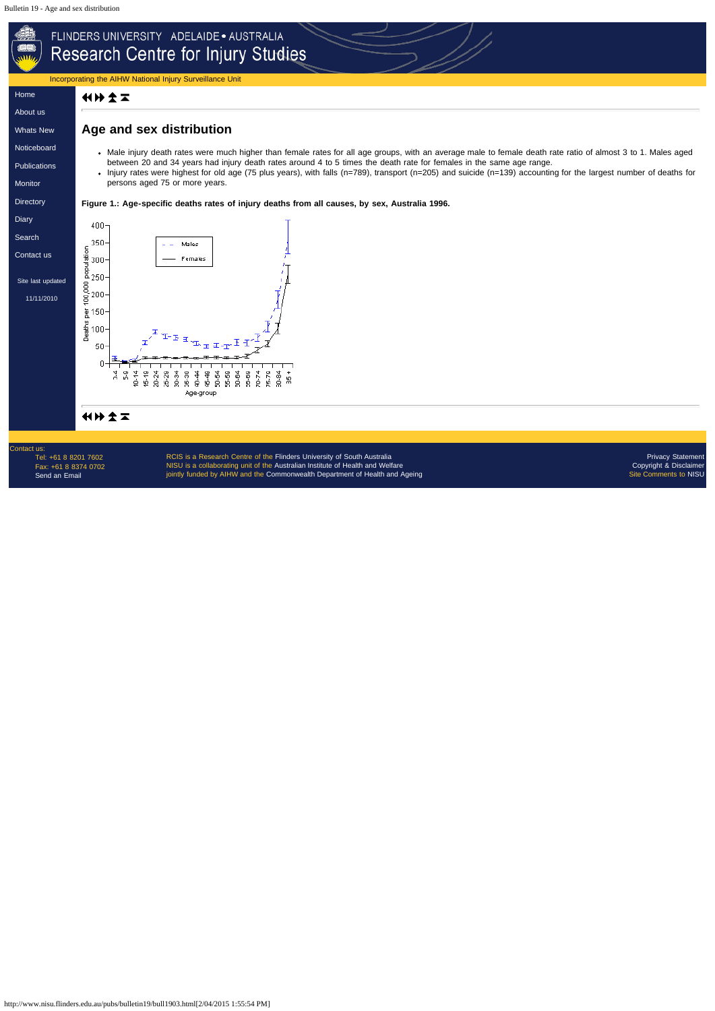http://www.nisu.flinders.edu.au/pubs/bulletin19/bull1903.html[2/04/2015 1:55:54 PM]



RCIS is a Research Centre of the [Flinders University of South Australia](http://www.flinders.edu.au/) NISU is a collaborating unit of the [Australian Institute of Health and Welfare](http://www.aihw.gov.au/) jointly funded by AIHW and the [Commonwealth Department of Health and Ageing](http://www.health.gov.au/)

Contact us: Tel: +61 8 8201 7602 Fax: +61 8 8374 0702 [Send an Email](mailto:nisu@flinders.edu.au)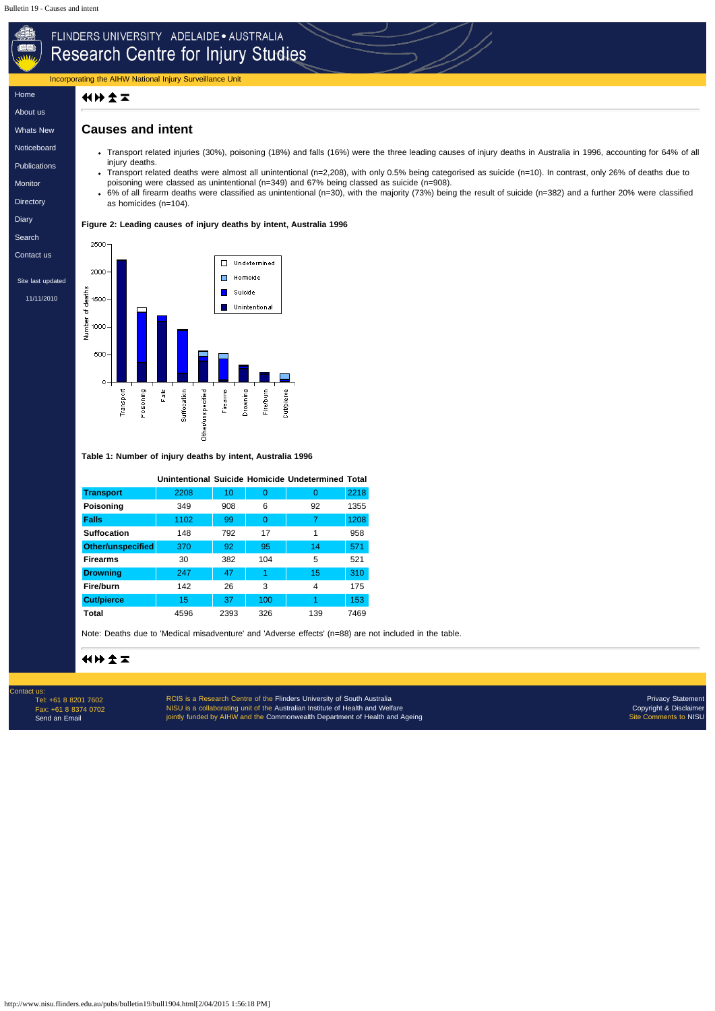**[Publications](http://www.nisu.flinders.edu.au/publications.php)** 

http://www.nisu.flinders.edu.au/pubs/bulletin19/bull1904.html[2/04/2015 1:56:18 PM]

# FLINDERS UNIVERSITY ADELAIDE . AUSTRALIA Research Centre for Injury Studies Incorporating the AIHW National Injury Surveillance Unit [Home](http://www.nisu.flinders.edu.au/index.php) 化比文工 [About](http://www.nisu.flinders.edu.au/about.php) us **Causes and intent** [Whats](http://www.nisu.flinders.edu.au/wotsnew.php) New [Noticeboard](http://www.nisu.flinders.edu.au/nb.php)

[Monitor](http://www.nisu.flinders.edu.au/monitor/index.php)

**[Directory](http://www.nisu.flinders.edu.au/injdirect/index.php)** 

**[Diary](http://www.nisu.flinders.edu.au/diary.php)** 

[Search](http://www.nisu.flinders.edu.au/search.php)

[Contact](http://www.nisu.flinders.edu.au/contact.php) us

Site last updated

[11/11/2010](http://www.nisu.flinders.edu.au/pubs/reports/2010/injcat134.php)

- Transport related injuries (30%), poisoning (18%) and falls (16%) were the three leading causes of injury deaths in Australia in 1996, accounting for 64% of all injury deaths.
- Transport related deaths were almost all unintentional (n=2,208), with only 0.5% being categorised as suicide (n=10). In contrast, only 26% of deaths due to poisoning were classed as unintentional (n=349) and 67% being classed as suicide (n=908).
	- 6% of all firearm deaths were classified as unintentional (n=30), with the majority (73%) being the result of suicide (n=382) and a further 20% were classified as homicides (n=104).

RCIS is a Research Centre of the [Flinders University of South Australia](http://www.flinders.edu.au/) NISU is a collaborating unit of the [Australian Institute of Health and Welfare](http://www.aihw.gov.au/) jointly funded by AIHW and the [Commonwealth Department of Health and Ageing](http://www.health.gov.au/)

#### **Figure 2: Leading causes of injury deaths by intent, Australia 1996**

2500 □ Undetermined 2000  $\Box$  Homicide Δ sths<br>1500<br>kynber 000<br>2 Suicide Unintentional 500  $\circ$ Fire/burn Fals Suffocation Firearns Drowning Poisoning Other/unspecified Cut/pierce Transport

**Table 1: Number of injury deaths by intent, Australia 1996**

|                          |      |      |          | Unintentional Suicide Homicide Undetermined Total |      |
|--------------------------|------|------|----------|---------------------------------------------------|------|
| <b>Transport</b>         | 2208 | 10   | 0        | 0                                                 | 2218 |
| <b>Poisoning</b>         | 349  | 908  | 6        | 92                                                | 1355 |
| <b>Falls</b>             | 1102 | 99   | $\Omega$ | 7                                                 | 1208 |
| <b>Suffocation</b>       | 148  | 792  | 17       | 1                                                 | 958  |
| <b>Other/unspecified</b> | 370  | 92   | 95       | 14                                                | 571  |
| <b>Firearms</b>          | 30   | 382  | 104      | 5                                                 | 521  |
| <b>Drowning</b>          | 247  | 47   | 1        | 15                                                | 310  |
| <b>Fire/burn</b>         | 142  | 26   | 3        | 4                                                 | 175  |
| <b>Cut/pierce</b>        | 15   | 37   | 100      | 1                                                 | 153  |
| Total                    | 4596 | 2393 | 326      | 139                                               | 7469 |

Note: Deaths due to 'Medical misadventure' and 'Adverse effects' (n=88) are not included in the table.

## 化比尔工

Contact us: Tel: +61 8 8201 7602 Fax: +61 8 8374 0702 [Send an Email](mailto:nisu@flinders.edu.au)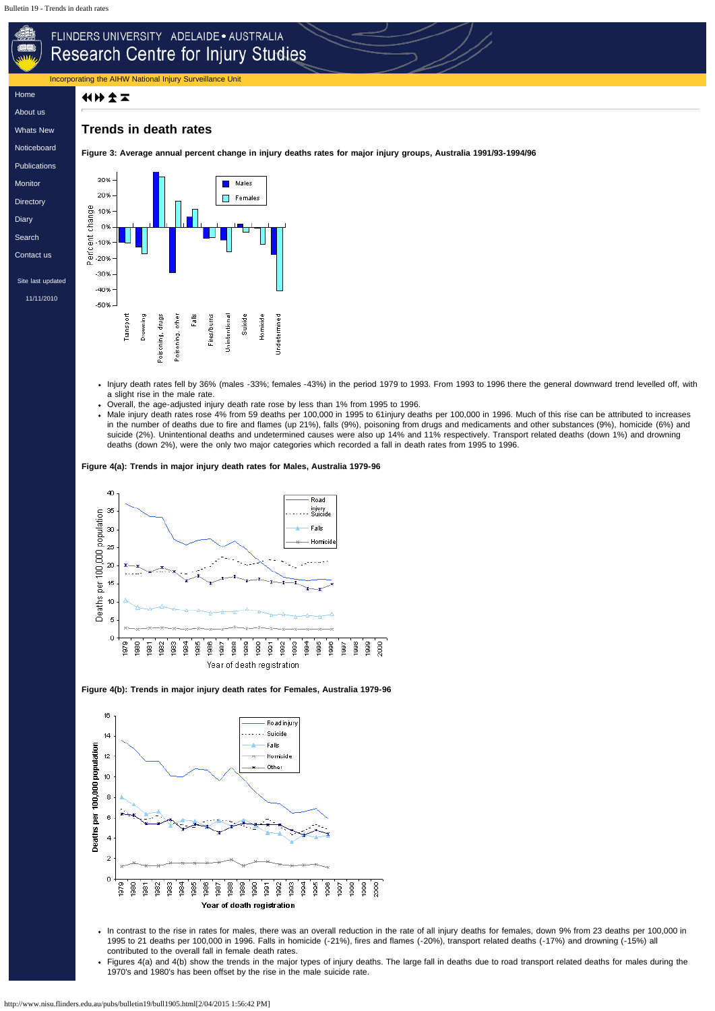# FLINDERS UNIVERSITY ADELAIDE . AUSTRALIA Research Centre for Injury Studies

Incorporating the AIHW National Injury Surveillance Unit

### 化比全工

[Home](http://www.nisu.flinders.edu.au/index.php)

[About](http://www.nisu.flinders.edu.au/about.php) us

[Whats](http://www.nisu.flinders.edu.au/wotsnew.php) New

**[Noticeboard](http://www.nisu.flinders.edu.au/nb.php)** 



### **Trends in death rates**

**Figure 3: Average annual percent change in injury deaths rates for major injury groups, Australia 1991/93-1994/96**

- Injury death rates fell by 36% (males -33%; females -43%) in the period 1979 to 1993. From 1993 to 1996 there the general downward trend levelled off, with a slight rise in the male rate.
- Overall, the age-adjusted injury death rate rose by less than 1% from 1995 to 1996.
- Male injury death rates rose 4% from 59 deaths per 100,000 in 1995 to 61injury deaths per 100,000 in 1996. Much of this rise can be attributed to increases in the number of deaths due to fire and flames (up 21%), falls (9%), poisoning from drugs and medicaments and other substances (9%), homicide (6%) and suicide (2%). Unintentional deaths and undetermined causes were also up 14% and 11% respectively. Transport related deaths (down 1%) and drowning deaths (down 2%), were the only two major categories which recorded a fall in death rates from 1995 to 1996.

#### **Figure 4(a): Trends in major injury death rates for Males, Australia 1979-96**



**Figure 4(b): Trends in major injury death rates for Females, Australia 1979-96**



- In contrast to the rise in rates for males, there was an overall reduction in the rate of all injury deaths for females, down 9% from 23 deaths per 100,000 in 1995 to 21 deaths per 100,000 in 1996. Falls in homicide (-21%), fires and flames (-20%), transport related deaths (-17%) and drowning (-15%) all contributed to the overall fall in female death rates.
- Figures 4(a) and 4(b) show the trends in the major types of injury deaths. The large fall in deaths due to road transport related deaths for males during the 1970's and 1980's has been offset by the rise in the male suicide rate.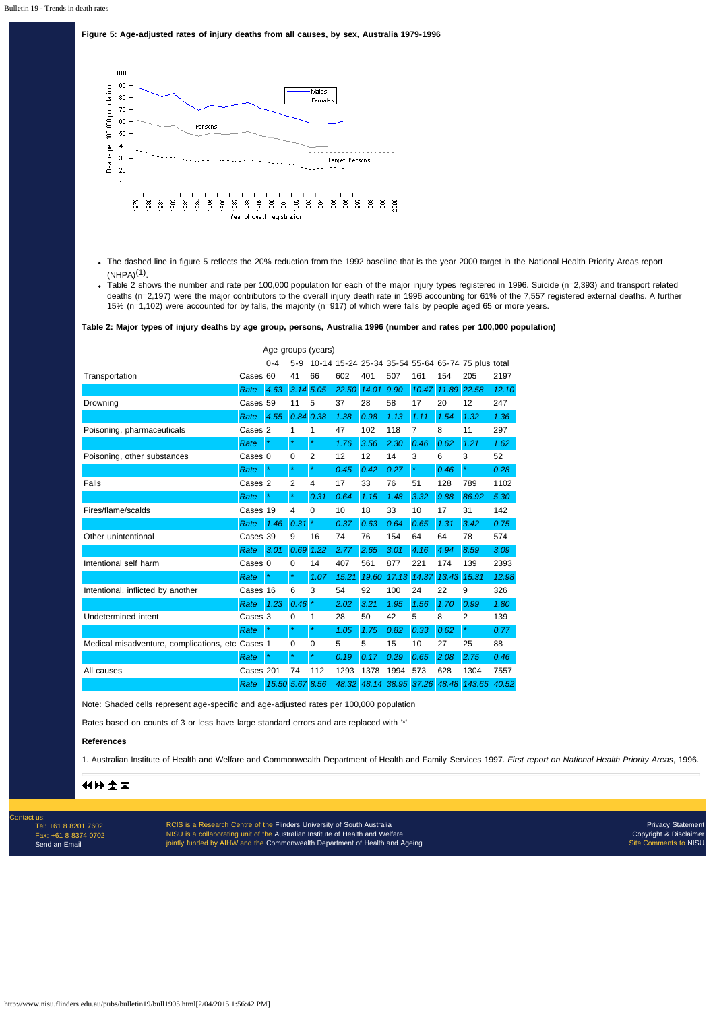http://www.nisu.flinders.edu.au/pubs/bulletin19/bull1905.html[2/04/2015 1:56:42 PM]

#### **Figure 5: Age-adjusted rates of injury deaths from all causes, by sex, Australia 1979-1996**



- The dashed line in figure 5 reflects the 20% reduction from the 1992 baseline that is the year 2000 target in the National Health Priority Areas report  $(NHPA)^{(1)}$ .
- Table 2 shows the number and rate per 100,000 population for each of the major injury types registered in 1996. Suicide (n=2,393) and transport related deaths (n=2,197) were the major contributors to the overall injury death rate in 1996 accounting for 61% of the 7,557 registered external deaths. A further 15% (n=1,102) were accounted for by falls, the majority (n=917) of which were falls by people aged 65 or more years.

**Table 2: Major types of injury deaths by age group, persons, Australia 1996 (number and rates per 100,000 population)**

RCIS is a Research Centre of the [Flinders University of South Australia](http://www.flinders.edu.au/) NISU is a collaborating unit of the [Australian Institute of Health and Welfare](http://www.aihw.gov.au/) jointly funded by AIHW and the [Commonwealth Department of Health and Ageing](http://www.health.gov.au/)

|                                                  | Age groups (years) |                 |                |         |       |       |                   |         |       |                                                   |       |
|--------------------------------------------------|--------------------|-----------------|----------------|---------|-------|-------|-------------------|---------|-------|---------------------------------------------------|-------|
|                                                  |                    | $0 - 4$         | $5-9$          |         |       |       |                   |         |       | 10-14 15-24 25-34 35-54 55-64 65-74 75 plus total |       |
| Transportation                                   | Cases 60           |                 | 41             | 66      | 602   | 401   | 507               | 161     | 154   | 205                                               | 2197  |
|                                                  | Rate               | 4.63            | 3.14           | 5.05    | 22.50 | 14.01 | 9.90              | 10.47   | 11.89 | 22.58                                             | 12.10 |
| Drowning                                         | Cases 59           |                 | 11             | 5       | 37    | 28    | 58                | 17      | 20    | 12                                                | 247   |
|                                                  | Rate               | 4.55            | 0.84           | 0.38    | 1.38  | 0.98  | 1.13              | 1.11    | 1.54  | 1.32                                              | 1.36  |
| Poisoning, pharmaceuticals                       | Cases 2            |                 | 1              | 1       | 47    | 102   | 118               | 7       | 8     | 11                                                | 297   |
|                                                  | Rate               | $\ast$          | $\ast$         | $\star$ | 1.76  | 3.56  | 2.30              | 0.46    | 0.62  | 1.21                                              | 1.62  |
| Poisoning, other substances                      | Cases 0            |                 | 0              | 2       | 12    | 12    | 14                | 3       | 6     | 3                                                 | 52    |
|                                                  | Rate               | $\ast$          | $\star$        | $\star$ | 0.45  | 0.42  | 0.27              | $\star$ | 0.46  | $\star$                                           | 0.28  |
| Falls                                            | Cases 2            |                 | $\overline{2}$ | 4       | 17    | 33    | 76                | 51      | 128   | 789                                               | 1102  |
|                                                  | Rate               | ×               | $\ast$         | 0.31    | 0.64  | 1.15  | 1.48              | 3.32    | 9.88  | 86.92                                             | 5.30  |
| Fires/flame/scalds                               | Cases 19           |                 | 4              | 0       | 10    | 18    | 33                | 10      | 17    | 31                                                | 142   |
|                                                  | Rate               | 1.46            | 0.31           | $\star$ | 0.37  | 0.63  | 0.64              | 0.65    | 1.31  | 3.42                                              | 0.75  |
| Other unintentional                              | Cases 39           |                 | 9              | 16      | 74    | 76    | 154               | 64      | 64    | 78                                                | 574   |
|                                                  | Rate               | 3.01            | 0.69           | 1.22    | 2.77  | 2.65  | 3.01              | 4.16    | 4.94  | 8.59                                              | 3.09  |
| Intentional self harm                            | Cases 0            |                 | 0              | 14      | 407   | 561   | 877               | 221     | 174   | 139                                               | 2393  |
|                                                  | Rate               | $\star$         | $\star$        | 1.07    | 15.21 | 19.60 | 17.13             | 14.37   | 13.43 | 15.31                                             | 12.98 |
| Intentional, inflicted by another                | Cases 16           |                 | 6              | 3       | 54    | 92    | 100               | 24      | 22    | 9                                                 | 326   |
|                                                  | Rate               | 1.23            | 0.46           | $\ast$  | 2.02  | 3.21  | 1.95              | 1.56    | 1.70  | 0.99                                              | 1.80  |
| Undetermined intent                              | Cases 3            |                 | 0              | 1       | 28    | 50    | 42                | 5       | 8     | $\overline{2}$                                    | 139   |
|                                                  | Rate               | $\star$         | $\star$        | $\star$ | 1.05  | 1.75  | 0.82              | 0.33    | 0.62  | ×                                                 | 0.77  |
| Medical misadventure, complications, etc Cases 1 |                    |                 | 0              | 0       | 5     | 5     | 15                | 10      | 27    | 25                                                | 88    |
|                                                  | Rate               |                 | $\ast$         | $\star$ | 0.19  | 0.17  | 0.29              | 0.65    | 2.08  | 2.75                                              | 0.46  |
| All causes                                       | Cases 201          |                 | 74             | 112     | 1293  | 1378  | 1994              | 573     | 628   | 1304                                              | 7557  |
|                                                  | Rate               | 15.50 5.67 8.56 |                |         | 48.32 |       | 48.14 38.95 37.26 |         | 48.48 | 143.65                                            | 40.52 |

Note: Shaded cells represent age-specific and age-adjusted rates per 100,000 population

Rates based on counts of 3 or less have large standard errors and are replaced with '\*'

#### **References**

1. Australian Institute of Health and Welfare and Commonwealth Department of Health and Family Services 1997. *First report on National Health Priority Areas*, 1996.

## 化比文工

#### Contact us:

Tel: +61 8 8201 7602 Fax: +61 8 8374 0702 [Send an Email](mailto:nisu@flinders.edu.au)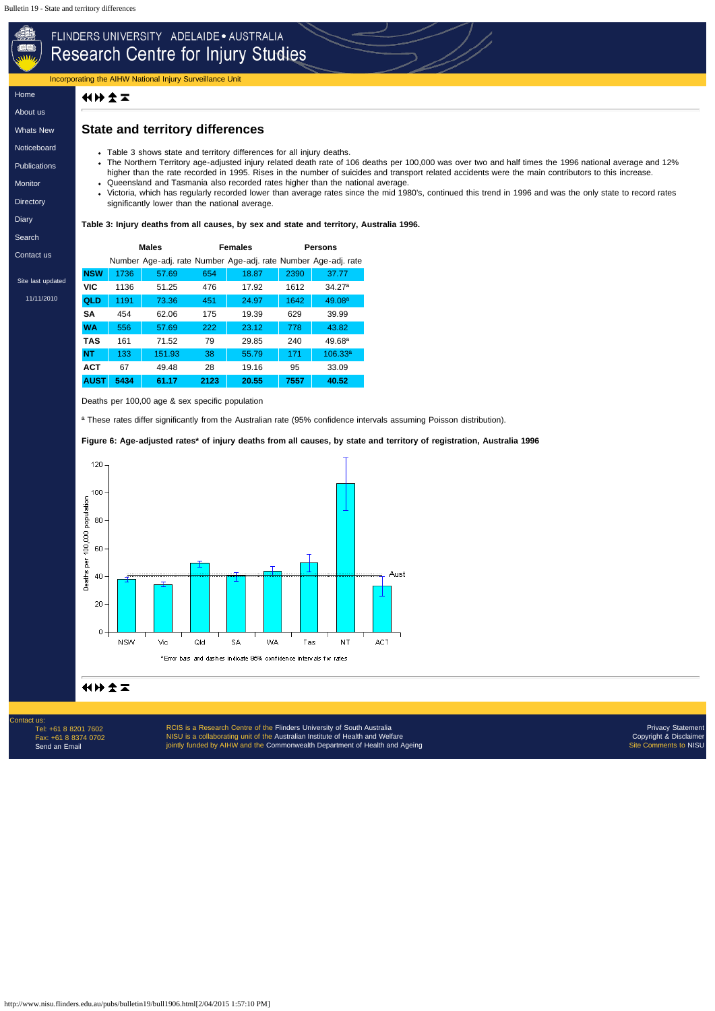http://www.nisu.flinders.edu.au/pubs/bulletin19/bull1906.html[2/04/2015 1:57:10 PM]

Incorporating the AIHW National Injury Surveillance Unit

### 化比文工

[Home](http://www.nisu.flinders.edu.au/index.php)

[About](http://www.nisu.flinders.edu.au/about.php) us

[Whats](http://www.nisu.flinders.edu.au/wotsnew.php) New

[Noticeboard](http://www.nisu.flinders.edu.au/nb.php)

**[Publications](http://www.nisu.flinders.edu.au/publications.php)** 

[Monitor](http://www.nisu.flinders.edu.au/monitor/index.php)

**[Directory](http://www.nisu.flinders.edu.au/injdirect/index.php)** 

**[Diary](http://www.nisu.flinders.edu.au/diary.php)** 

[Search](http://www.nisu.flinders.edu.au/search.php)

[Contact](http://www.nisu.flinders.edu.au/contact.php) us

Site last updated

[11/11/2010](http://www.nisu.flinders.edu.au/pubs/reports/2010/injcat134.php)

# FLINDERS UNIVERSITY ADELAIDE · AUSTRALIA Research Centre for Injury Studies

# **State and territory differences**

- Table 3 shows state and territory differences for all injury deaths.
- The Northern Territory age-adjusted injury related death rate of 106 deaths per 100,000 was over two and half times the 1996 national average and 12% higher than the rate recorded in 1995. Rises in the number of suicides and transport related accidents were the main contributors to this increase.
- Queensland and Tasmania also recorded rates higher than the national average.
- Victoria, which has regularly recorded lower than average rates since the mid 1980's, continued this trend in 1996 and was the only state to record rates significantly lower than the national average.

Contact us Tel: +61 8 8201 7602 Fax: +61 8 8374 0702 [Send an Email](mailto:nisu@flinders.edu.au)

RCIS is a Research Centre of the [Flinders University of South Australia](http://www.flinders.edu.au/) NISU is a collaborating unit of the [Australian Institute of Health and Welfare](http://www.aihw.gov.au/) jointly funded by AIHW and the [Commonwealth Department of Health and Ageing](http://www.health.gov.au/)

#### **Table 3: Injury deaths from all causes, by sex and state and territory, Australia 1996.**

|             |      | <b>Males</b>                                                   |      | Females | <b>Persons</b> |                     |  |  |
|-------------|------|----------------------------------------------------------------|------|---------|----------------|---------------------|--|--|
|             |      | Number Age-adj. rate Number Age-adj. rate Number Age-adj. rate |      |         |                |                     |  |  |
| <b>NSW</b>  | 1736 | 57.69                                                          | 654  | 18.87   | 2390           | 37.77               |  |  |
| <b>VIC</b>  | 1136 | 51.25                                                          | 476  | 17.92   | 1612           | 34.27 <sup>a</sup>  |  |  |
| <b>QLD</b>  | 1191 | 73.36                                                          | 451  | 24.97   | 1642           | 49.08 <sup>a</sup>  |  |  |
| SΑ          | 454  | 62.06                                                          | 175  | 19.39   | 629            | 39.99               |  |  |
| <b>WA</b>   | 556  | 57.69                                                          | 222  | 23.12   | 778            | 43.82               |  |  |
| <b>TAS</b>  | 161  | 71.52                                                          | 79   | 29.85   | 240            | 49.68 <sup>a</sup>  |  |  |
| <b>NT</b>   | 133  | 151.93                                                         | 38   | 55.79   | 171            | 106.33 <sup>a</sup> |  |  |
| <b>ACT</b>  | 67   | 49.48                                                          | 28   | 19.16   | 95             | 33.09               |  |  |
| <b>AUST</b> | 5434 | 61.17                                                          | 2123 | 20.55   | 7557           | 40.52               |  |  |

Deaths per 100,00 age & sex specific population

a These rates differ significantly from the Australian rate (95% confidence intervals assuming Poisson distribution).

#### **Figure 6: Age-adjusted rates\* of injury deaths from all causes, by state and territory of registration, Australia 1996**



### 化比尔工